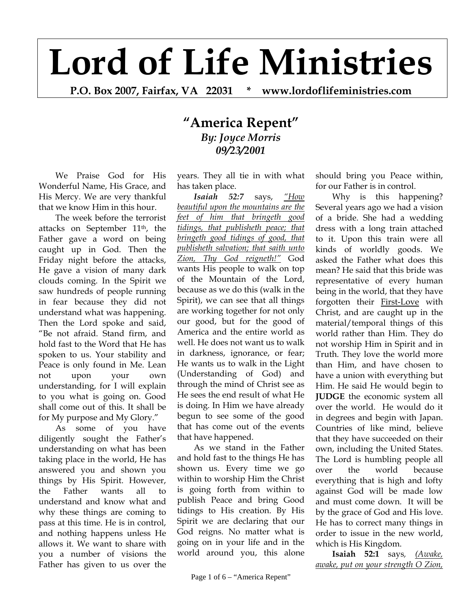## **Lord of Life Ministries**

**P.O. Box 2007, Fairfax, VA 22031 \* www.lordoflifeministries.com** 

## **"America Repent"** *By: Joyce Morris 09/23/2001*

We Praise God for His Wonderful Name, His Grace, and His Mercy. We are very thankful that we know Him in this hour.

The week before the terrorist attacks on September 11th, the Father gave a word on being caught up in God. Then the Friday night before the attacks, He gave a vision of many dark clouds coming. In the Spirit we saw hundreds of people running in fear because they did not understand what was happening. Then the Lord spoke and said, "Be not afraid. Stand firm, and hold fast to the Word that He has spoken to us. Your stability and Peace is only found in Me. Lean not upon your own understanding, for I will explain to you what is going on. Good shall come out of this. It shall be for My purpose and My Glory."

As some of you have diligently sought the Father's understanding on what has been taking place in the world, He has answered you and shown you things by His Spirit. However, the Father wants all to understand and know what and why these things are coming to pass at this time. He is in control, and nothing happens unless He allows it. We want to share with you a number of visions the Father has given to us over the

years. They all tie in with what has taken place.

*Isaiah 52:7* says, *"How beautiful upon the mountains are the feet of him that bringeth good tidings, that publisheth peace; that bringeth good tidings of good, that publisheth salvation; that saith unto Zion, Thy God reigneth!"* God wants His people to walk on top of the Mountain of the Lord, because as we do this (walk in the Spirit), we can see that all things are working together for not only our good, but for the good of America and the entire world as well. He does not want us to walk in darkness, ignorance, or fear; He wants us to walk in the Light (Understanding of God) and through the mind of Christ see as He sees the end result of what He is doing. In Him we have already begun to see some of the good that has come out of the events that have happened.

As we stand in the Father and hold fast to the things He has shown us. Every time we go within to worship Him the Christ is going forth from within to publish Peace and bring Good tidings to His creation. By His Spirit we are declaring that our God reigns. No matter what is going on in your life and in the world around you, this alone

should bring you Peace within, for our Father is in control.

Why is this happening? Several years ago we had a vision of a bride. She had a wedding dress with a long train attached to it. Upon this train were all kinds of worldly goods. We asked the Father what does this mean? He said that this bride was representative of every human being in the world, that they have forgotten their First-Love with Christ, and are caught up in the material/temporal things of this world rather than Him. They do not worship Him in Spirit and in Truth. They love the world more than Him, and have chosen to have a union with everything but Him. He said He would begin to **JUDGE** the economic system all over the world. He would do it in degrees and begin with Japan. Countries of like mind, believe that they have succeeded on their own, including the United States. The Lord is humbling people all over the world because everything that is high and lofty against God will be made low and must come down. It will be by the grace of God and His love. He has to correct many things in order to issue in the new world, which is His Kingdom.

**Isaiah 52:1** says*, (Awake, awake, put on your strength O Zion,*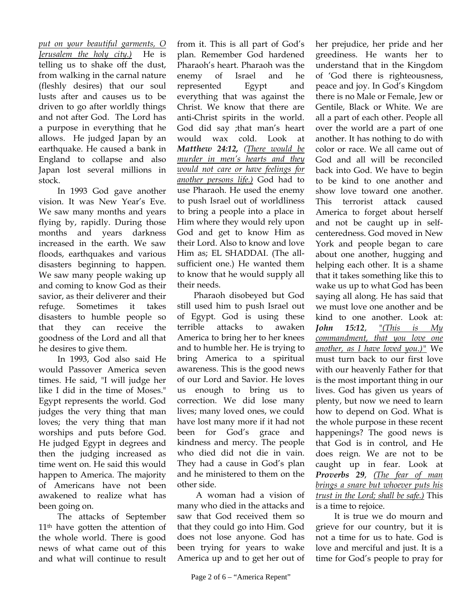*put on your beautiful garments, O Jerusalem the holy city.)* He is telling us to shake off the dust, from walking in the carnal nature (fleshly desires) that our soul lusts after and causes us to be driven to go after worldly things and not after God. The Lord has a purpose in everything that he allows. He judged Japan by an earthquake. He caused a bank in England to collapse and also Japan lost several millions in stock.

 In 1993 God gave another vision. It was New Year's Eve. We saw many months and years flying by, rapidly. During those months and years darkness increased in the earth. We saw floods, earthquakes and various disasters beginning to happen. We saw many people waking up and coming to know God as their savior, as their deliverer and their refuge. Sometimes it takes disasters to humble people so that they can receive the goodness of the Lord and all that he desires to give them.

 In 1993, God also said He would Passover America seven times. He said, "I will judge her like I did in the time of Moses." Egypt represents the world. God judges the very thing that man loves; the very thing that man worships and puts before God. He judged Egypt in degrees and then the judging increased as time went on. He said this would happen to America. The majority of Americans have not been awakened to realize what has been going on.

 The attacks of September 11<sup>th</sup> have gotten the attention of the whole world. There is good news of what came out of this and what will continue to result

from it. This is all part of God's plan. Remember God hardened Pharaoh's heart. Pharaoh was the enemy of Israel and he represented Egypt and everything that was against the Christ. We know that there are anti-Christ spirits in the world. God did say ;that man's heart would wax cold. Look at *Matthew 24:12, (There would be murder in men's hearts and they would not care or have feelings for another persons life.)* God had to use Pharaoh. He used the enemy to push Israel out of worldliness to bring a people into a place in Him where they would rely upon God and get to know Him as their Lord. Also to know and love Him as; EL SHADDAI. (The allsufficient one.) He wanted them to know that he would supply all their needs.

Pharaoh disobeyed but God still used him to push Israel out of Egypt. God is using these terrible attacks to awaken America to bring her to her knees and to humble her. He is trying to bring America to a spiritual awareness. This is the good news of our Lord and Savior. He loves us enough to bring us to correction. We did lose many lives; many loved ones, we could have lost many more if it had not been for God's grace and kindness and mercy. The people who died did not die in vain. They had a cause in God's plan and he ministered to them on the other side.

 A woman had a vision of many who died in the attacks and saw that God received them so that they could go into Him. God does not lose anyone. God has been trying for years to wake America up and to get her out of

her prejudice, her pride and her greediness. He wants her to understand that in the Kingdom of 'God there is righteousness, peace and joy. In God's Kingdom there is no Male or Female, Jew or Gentile, Black or White. We are all a part of each other. People all over the world are a part of one another. It has nothing to do with color or race. We all came out of God and all will be reconciled back into God. We have to begin to be kind to one another and show love toward one another. This terrorist attack caused America to forget about herself and not be caught up in selfcenteredness. God moved in New York and people began to care about one another, hugging and helping each other. It is a shame that it takes something like this to wake us up to what God has been saying all along. He has said that we must love one another and be kind to one another. Look at: *John 15:12*, "*(This is My commandment, that you love one another, as I have loved you.)"* We must turn back to our first love with our heavenly Father for that is the most important thing in our lives. God has given us years of plenty, but now we need to learn how to depend on God. What is the whole purpose in these recent happenings? The good news is that God is in control, and He does reign. We are not to be caught up in fear. Look at *Proverbs 29*, *(The fear of man brings a snare but whoever puts his trust in the Lord; shall be safe.)* This is a time to rejoice.

 It is true we do mourn and grieve for our country, but it is not a time for us to hate. God is love and merciful and just. It is a time for God's people to pray for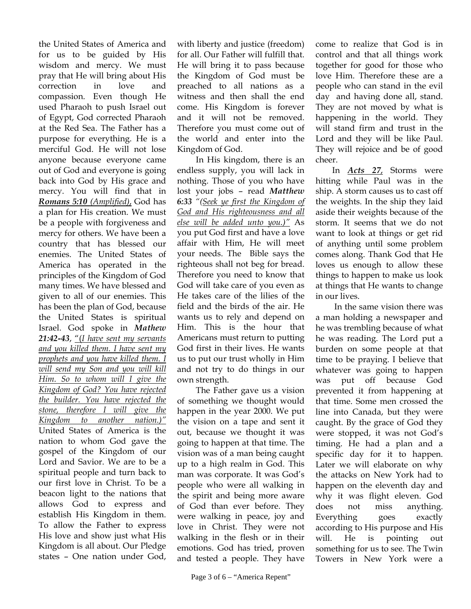the United States of America and for us to be guided by His wisdom and mercy. We must pray that He will bring about His correction in love and compassion. Even though He used Pharaoh to push Israel out of Egypt, God corrected Pharaoh at the Red Sea. The Father has a purpose for everything. He is a merciful God. He will not lose anyone because everyone came out of God and everyone is going back into God by His grace and mercy. You will find that in *Romans 5:10 (Amplified)*, God has a plan for His creation. We must be a people with forgiveness and mercy for others. We have been a country that has blessed our enemies. The United States of America has operated in the principles of the Kingdom of God many times. We have blessed and given to all of our enemies. This has been the plan of God, because the United States is spiritual Israel. God spoke in *Mathew 21:42-43*, "(*I have sent my servants and you killed them. I have sent my prophets and you have killed them. I will send my Son and you will kill Him. So to whom will I give the Kingdom of God? You have rejected the builder. You have rejected the stone, therefore I will give the Kingdom to another nation.)"* United States of America is the nation to whom God gave the gospel of the Kingdom of our Lord and Savior. We are to be a spiritual people and turn back to our first love in Christ. To be a beacon light to the nations that allows God to express and establish His Kingdom in them. To allow the Father to express His love and show just what His Kingdom is all about. Our Pledge states – One nation under God,

with liberty and justice (freedom) for all. Our Father will fulfill that. He will bring it to pass because the Kingdom of God must be preached to all nations as a witness and then shall the end come. His Kingdom is forever and it will not be removed. Therefore you must come out of the world and enter into the Kingdom of God.

 In His kingdom, there is an endless supply, you will lack in nothing. Those of you who have lost your jobs – read *Matthew 6:33 "(Seek ye first the Kingdom of God and His righteousness and all else will be added unto you.)"* As you put God first and have a love affair with Him, He will meet your needs. The Bible says the righteous shall not beg for bread. Therefore you need to know that God will take care of you even as He takes care of the lilies of the field and the birds of the air. He wants us to rely and depend on Him. This is the hour that Americans must return to putting God first in their lives. He wants us to put our trust wholly in Him and not try to do things in our own strength.

 The Father gave us a vision of something we thought would happen in the year 2000. We put the vision on a tape and sent it out, because we thought it was going to happen at that time. The vision was of a man being caught up to a high realm in God. This man was corporate. It was God's people who were all walking in the spirit and being more aware of God than ever before. They were walking in peace, joy and love in Christ. They were not walking in the flesh or in their emotions. God has tried, proven and tested a people. They have come to realize that God is in control and that all things work together for good for those who love Him. Therefore these are a people who can stand in the evil day and having done all, stand. They are not moved by what is happening in the world. They will stand firm and trust in the Lord and they will be like Paul. They will rejoice and be of good cheer.

In *Acts 27*, Storms were hitting while Paul was in the ship. A storm causes us to cast off the weights. In the ship they laid aside their weights because of the storm. It seems that we do not want to look at things or get rid of anything until some problem comes along. Thank God that He loves us enough to allow these things to happen to make us look at things that He wants to change in our lives.

 In the same vision there was a man holding a newspaper and he was trembling because of what he was reading. The Lord put a burden on some people at that time to be praying. I believe that whatever was going to happen was put off because God prevented it from happening at that time. Some men crossed the line into Canada, but they were caught. By the grace of God they were stopped, it was not God's timing. He had a plan and a specific day for it to happen. Later we will elaborate on why the attacks on New York had to happen on the eleventh day and why it was flight eleven. God does not miss anything. Everything goes exactly according to His purpose and His will. He is pointing out something for us to see. The Twin Towers in New York were a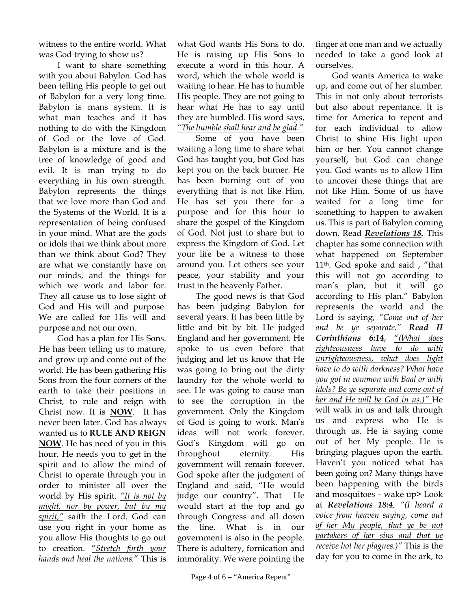witness to the entire world. What was God trying to show us?

 I want to share something with you about Babylon. God has been telling His people to get out of Babylon for a very long time. Babylon is mans system. It is what man teaches and it has nothing to do with the Kingdom of God or the love of God. Babylon is a mixture and is the tree of knowledge of good and evil. It is man trying to do everything in his own strength. Babylon represents the things that we love more than God and the Systems of the World. It is a representation of being confused in your mind. What are the gods or idols that we think about more than we think about God? They are what we constantly have on our minds, and the things for which we work and labor for. They all cause us to lose sight of God and His will and purpose. We are called for His will and purpose and not our own.

 God has a plan for His Sons. He has been telling us to mature, and grow up and come out of the world. He has been gathering His Sons from the four corners of the earth to take their positions in Christ, to rule and reign with Christ now. It is **NOW**. It has never been later. God has always wanted us to **RULE AND REIGN NOW**. He has need of you in this hour. He needs you to get in the spirit and to allow the mind of Christ to operate through you in order to minister all over the world by His spirit. *"It is not by might, nor by power, but by my spirit,"* saith the Lord. God can use you right in your home as you allow His thoughts to go out to creation. "*Stretch forth your hands and heal the nations.*" This is

what God wants His Sons to do. He is raising up His Sons to execute a word in this hour. A word, which the whole world is waiting to hear. He has to humble His people. They are not going to hear what He has to say until they are humbled. His word says, *"The humble shall hear and be glad."*

 Some of you have been waiting a long time to share what God has taught you, but God has kept you on the back burner. He has been burning out of you everything that is not like Him. He has set you there for a purpose and for this hour to share the gospel of the Kingdom of God. Not just to share but to express the Kingdom of God. Let your life be a witness to those around you. Let others see your peace, your stability and your trust in the heavenly Father.

 The good news is that God has been judging Babylon for several years. It has been little by little and bit by bit. He judged England and her government. He spoke to us even before that judging and let us know that He was going to bring out the dirty laundry for the whole world to see. He was going to cause man to see the corruption in the government. Only the Kingdom of God is going to work. Man's ideas will not work forever. God's Kingdom will go on throughout eternity. His government will remain forever. God spoke after the judgment of England and said, "He would judge our country". That He would start at the top and go through Congress and all down the line. What is in our government is also in the people. There is adultery, fornication and immorality. We were pointing the

finger at one man and we actually needed to take a good look at ourselves.

God wants America to wake up, and come out of her slumber. This in not only about terrorists but also about repentance. It is time for America to repent and for each individual to allow Christ to shine His light upon him or her. You cannot change yourself, but God can change you. God wants us to allow Him to uncover those things that are not like Him. Some of us have waited for a long time for something to happen to awaken us. This is part of Babylon coming down. Read *Revelations 18.* This chapter has some connection with what happened on September 11th. God spoke and said , "that this will not go according to man's plan, but it will go according to His plan." Babylon represents the world and the Lord is saying, *"Come out of her and be ye separate." Read II Corinthians 6:14*, "*(What does righteousness have to do with unrighteousness, what does light have to do with darkness? What have you got in common with Baal or with idols? Be ye separate and come out of her and He will be God in us.)"* He will walk in us and talk through us and express who He is through us. He is saying come out of her My people. He is bringing plagues upon the earth. Haven't you noticed what has been going on? Many things have been happening with the birds and mosquitoes – wake up> Look at *Revelations 18:4, "(I heard a voice from heaven saying, come out of her My people, that ye be not partakers of her sins and that ye receive hot her plagues.)"* This is the day for you to come in the ark, to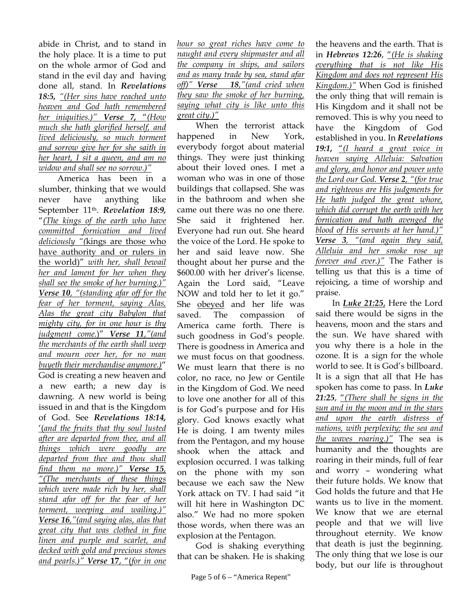abide in Christ, and to stand in the holy place. It is a time to put on the whole armor of God and stand in the evil day and having done all, stand. In *Revelations 18:5, "(Her sins have reached unto heaven and God hath remembered her iniquities.)" Verse 7,* "*(How much she hath glorified herself, and lived deliciously, so much torment and sorrow give her for she saith in her heart, I sit a queen, and am no widow and shall see no sorrow.)"*

America has been in a slumber, thinking that we would never have anything like September 11th. *Revelation 18:9,* "*(The kings of the earth who have committed fornication and lived deliciously "(*kings are those who have authority and or rulers in the world)" *with her, shall bewail her and lament for her when they shall see the smoke of her burning.)" Verse 10, "(standing afar off for the fear of her torment, saying Alas, Alas the great city Babylon that mighty city, for in one hour is thy judgment come*.)" *Verse 11,"(and the merchants of the earth shall weep and mourn over her, for no man buyeth their merchandise anymore.)*" God is creating a new heaven and a new earth; a new day is dawning. A new world is being issued in and that is the Kingdom of God. See *Revelations 18:14,* '(*and the fruits that thy soul lusted after are departed from thee, and all things which were goodly are departed from thee and thou shall find them no more.)" Verse 15, "(The merchants of these things which were made rich by her, shall stand afar off for the fear of her torment, weeping and wailing.)" Verse 16,"(and saying alas, alas that great city that was clothed in fine linen and purple and scarlet, and decked with gold and precious stones and pearls.)" Verse* **17**, "(*for in one* 

*hour so great riches have come to naught and every shipmaster and all the company in ships, and sailors and as many trade by sea, stand afar off)" Verse 18,"(and cried when they saw the smoke of her burning, saying what city is like unto this great city.)"*

When the terrorist attack happened in New York, everybody forgot about material things. They were just thinking about their loved ones. I met a woman who was in one of those buildings that collapsed. She was in the bathroom and when she came out there was no one there. She said it frightened her. Everyone had run out. She heard the voice of the Lord. He spoke to her and said leave now. She thought about her purse and the \$600.00 with her driver's license. Again the Lord said, "Leave NOW and told her to let it go." She obeyed and her life was saved. The compassion of America came forth. There is such goodness in God's people. There is goodness in America and we must focus on that goodness. We must learn that there is no color, no race, no Jew or Gentile in the Kingdom of God. We need to love one another for all of this is for God's purpose and for His glory. God knows exactly what He is doing. I am twenty miles from the Pentagon, and my house shook when the attack and explosion occurred. I was talking on the phone with my son because we each saw the New York attack on TV. I had said "it will hit here in Washington DC also." We had no more spoken those words, when there was an explosion at the Pentagon.

 God is shaking everything that can be shaken. He is shaking

the heavens and the earth. That is in *Hebrews 12:26*, "*(He is shaking everything that is not like His Kingdom and does not represent His Kingdom.)"* When God is finished the only thing that will remain is His Kingdom and it shall not be removed. This is why you need to have the Kingdom of God established in you. In *Revelations 19:1,* "*(I heard a great voice in heaven saying Alleluia: Salvation and glory, and honor and power unto the Lord our God. Verse 2, "(for true and righteous are His judgments for He hath judged the great whore, which did corrupt the earth with her fornication and hath avenged the blood of His servants at her hand.)" Verse 3, "(and again they said, Alleluia and her smoke rose up forever and ever.)"* The Father is telling us that this is a time of rejoicing, a time of worship and praise.

In *Luke 21:25*, Here the Lord said there would be signs in the heavens, moon and the stars and the sun. We have shared with you why there is a hole in the ozone. It is a sign for the whole world to see. It is God's billboard. It is a sign that all that He has spoken has come to pass. In *Luke 21:25*, "*(There shall be signs in the sun and in the moon and in the stars and upon the earth distress of nations, with perplexity; the sea and the waves roaring.)"* The sea is humanity and the thoughts are roaring in their minds, full of fear and worry – wondering what their future holds. We know that God holds the future and that He wants us to live in the moment. We know that we are eternal people and that we will live throughout eternity. We know that death is just the beginning. The only thing that we lose is our body, but our life is throughout